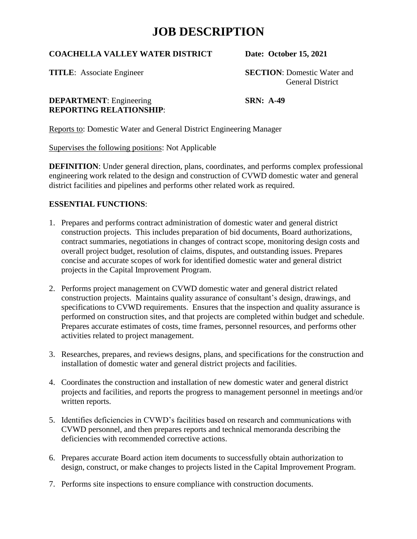#### **COACHELLA VALLEY WATER DISTRICT Date: October 15, 2021**

**TITLE**: Associate Engineer **SECTION**: Domestic Water and General District

#### **DEPARTMENT**: Engineering **SRN: A-49 REPORTING RELATIONSHIP**:

Reports to: Domestic Water and General District Engineering Manager

Supervises the following positions: Not Applicable

**DEFINITION**: Under general direction, plans, coordinates, and performs complex professional engineering work related to the design and construction of CVWD domestic water and general district facilities and pipelines and performs other related work as required.

### **ESSENTIAL FUNCTIONS**:

- 1. Prepares and performs contract administration of domestic water and general district construction projects. This includes preparation of bid documents, Board authorizations, contract summaries, negotiations in changes of contract scope, monitoring design costs and overall project budget, resolution of claims, disputes, and outstanding issues. Prepares concise and accurate scopes of work for identified domestic water and general district projects in the Capital Improvement Program.
- 2. Performs project management on CVWD domestic water and general district related construction projects. Maintains quality assurance of consultant's design, drawings, and specifications to CVWD requirements. Ensures that the inspection and quality assurance is performed on construction sites, and that projects are completed within budget and schedule. Prepares accurate estimates of costs, time frames, personnel resources, and performs other activities related to project management.
- 3. Researches, prepares, and reviews designs, plans, and specifications for the construction and installation of domestic water and general district projects and facilities.
- 4. Coordinates the construction and installation of new domestic water and general district projects and facilities, and reports the progress to management personnel in meetings and/or written reports.
- 5. Identifies deficiencies in CVWD's facilities based on research and communications with CVWD personnel, and then prepares reports and technical memoranda describing the deficiencies with recommended corrective actions.
- 6. Prepares accurate Board action item documents to successfully obtain authorization to design, construct, or make changes to projects listed in the Capital Improvement Program.
- 7. Performs site inspections to ensure compliance with construction documents.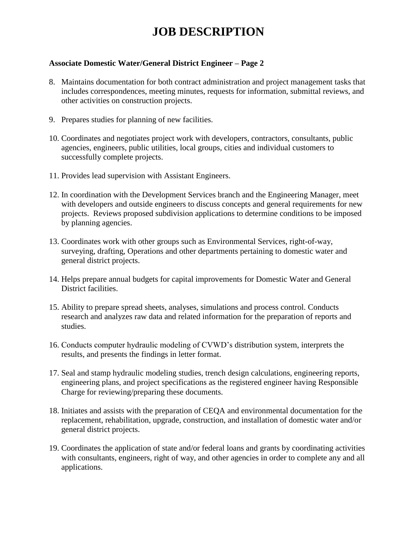#### **Associate Domestic Water/General District Engineer – Page 2**

- 8. Maintains documentation for both contract administration and project management tasks that includes correspondences, meeting minutes, requests for information, submittal reviews, and other activities on construction projects.
- 9. Prepares studies for planning of new facilities.
- 10. Coordinates and negotiates project work with developers, contractors, consultants, public agencies, engineers, public utilities, local groups, cities and individual customers to successfully complete projects.
- 11. Provides lead supervision with Assistant Engineers.
- 12. In coordination with the Development Services branch and the Engineering Manager, meet with developers and outside engineers to discuss concepts and general requirements for new projects. Reviews proposed subdivision applications to determine conditions to be imposed by planning agencies.
- 13. Coordinates work with other groups such as Environmental Services, right-of-way, surveying, drafting, Operations and other departments pertaining to domestic water and general district projects.
- 14. Helps prepare annual budgets for capital improvements for Domestic Water and General District facilities.
- 15. Ability to prepare spread sheets, analyses, simulations and process control. Conducts research and analyzes raw data and related information for the preparation of reports and studies.
- 16. Conducts computer hydraulic modeling of CVWD's distribution system, interprets the results, and presents the findings in letter format.
- 17. Seal and stamp hydraulic modeling studies, trench design calculations, engineering reports, engineering plans, and project specifications as the registered engineer having Responsible Charge for reviewing/preparing these documents.
- 18. Initiates and assists with the preparation of CEQA and environmental documentation for the replacement, rehabilitation, upgrade, construction, and installation of domestic water and/or general district projects.
- 19. Coordinates the application of state and/or federal loans and grants by coordinating activities with consultants, engineers, right of way, and other agencies in order to complete any and all applications.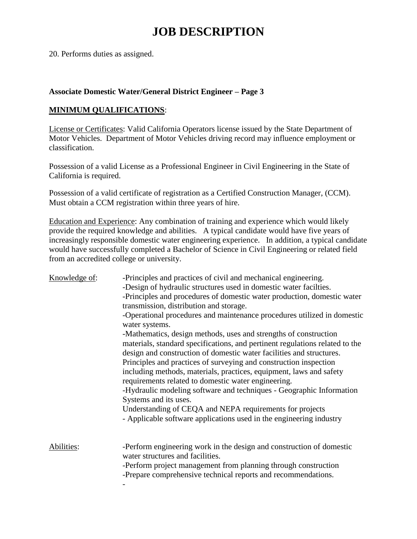20. Performs duties as assigned.

#### **Associate Domestic Water/General District Engineer – Page 3**

#### **MINIMUM QUALIFICATIONS**:

License or Certificates: Valid California Operators license issued by the State Department of Motor Vehicles. Department of Motor Vehicles driving record may influence employment or classification.

Possession of a valid License as a Professional Engineer in Civil Engineering in the State of California is required.

Possession of a valid certificate of registration as a Certified Construction Manager, (CCM). Must obtain a CCM registration within three years of hire.

Education and Experience: Any combination of training and experience which would likely provide the required knowledge and abilities. A typical candidate would have five years of increasingly responsible domestic water engineering experience. In addition, a typical candidate would have successfully completed a Bachelor of Science in Civil Engineering or related field from an accredited college or university.

| Knowledge of: | -Principles and practices of civil and mechanical engineering.<br>-Design of hydraulic structures used in domestic water facilties.<br>-Principles and procedures of domestic water production, domestic water<br>transmission, distribution and storage.<br>-Operational procedures and maintenance procedures utilized in domestic<br>water systems.<br>-Mathematics, design methods, uses and strengths of construction<br>materials, standard specifications, and pertinent regulations related to the<br>design and construction of domestic water facilities and structures.<br>Principles and practices of surveying and construction inspection<br>including methods, materials, practices, equipment, laws and safety<br>requirements related to domestic water engineering. |
|---------------|---------------------------------------------------------------------------------------------------------------------------------------------------------------------------------------------------------------------------------------------------------------------------------------------------------------------------------------------------------------------------------------------------------------------------------------------------------------------------------------------------------------------------------------------------------------------------------------------------------------------------------------------------------------------------------------------------------------------------------------------------------------------------------------|
|               | -Hydraulic modeling software and techniques - Geographic Information<br>Systems and its uses.<br>Understanding of CEQA and NEPA requirements for projects<br>- Applicable software applications used in the engineering industry                                                                                                                                                                                                                                                                                                                                                                                                                                                                                                                                                      |
| Abilities:    | -Perform engineering work in the design and construction of domestic<br>water structures and facilities.<br>-Perform project management from planning through construction<br>-Prepare comprehensive technical reports and recommendations.                                                                                                                                                                                                                                                                                                                                                                                                                                                                                                                                           |